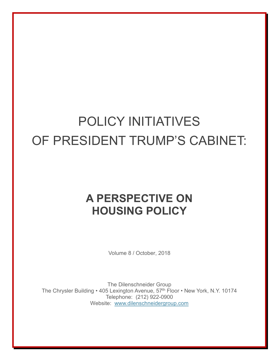## POLICY INITIATIVES OF PRESIDENT TRUMP'S CABINET:

## **A PERSPECTIVE ON HOUSING POLICY**

Volume 8 / October, 2018

The Dilenschneider Group The Chrysler Building • 405 Lexington Avenue, 57<sup>th</sup> Floor • New York, N.Y. 10174 Telephone: (212) 922-0900 Website: [www.dilenschneidergroup.com](http://www.dilenschneidergroup.com/)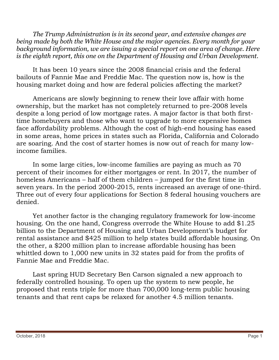*The Trump Administration is in its second year, and extensive changes are being made by both the White House and the major agencies. Every month for your background information, we are issuing a special report on one area of change. Here is the eighth report, this one on the Department of Housing and Urban Development.*

It has been 10 years since the 2008 financial crisis and the federal bailouts of Fannie Mae and Freddie Mac. The question now is, how is the housing market doing and how are federal policies affecting the market?

Americans are slowly beginning to renew their love affair with home ownership, but the market has not completely returned to pre-2008 levels despite a long period of low mortgage rates. A major factor is that both firsttime homebuyers and those who want to upgrade to more expensive homes face affordability problems. Although the cost of high-end housing has eased in some areas, home prices in states such as Florida, California and Colorado are soaring. And the cost of starter homes is now out of reach for many lowincome families.

In some large cities, low-income families are paying as much as 70 percent of their incomes for either mortgages or rent. In 2017, the number of homeless Americans – half of them children – jumped for the first time in seven years. In the period 2000-2015, rents increased an average of one-third. Three out of every four applications for Section 8 federal housing vouchers are denied.

 Yet another factor is the changing regulatory framework for low-income housing. On the one hand, Congress overrode the White House to add \$1.25 billion to the Department of Housing and Urban Development's budget for rental assistance and \$425 million to help states build affordable housing. On the other, a \$200 million plan to increase affordable housing has been whittled down to 1,000 new units in 32 states paid for from the profits of Fannie Mae and Freddie Mac.

 Last spring HUD Secretary Ben Carson signaled a new approach to federally controlled housing. To open up the system to new people, he proposed that rents triple for more than 700,000 long-term public housing tenants and that rent caps be relaxed for another 4.5 million tenants.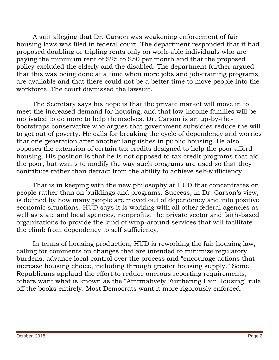A suit alleging that Dr. Carson was weakening enforcement of fair housing laws was filed in federal court. The department responded that it had proposed doubling or tripling rents only on work-able individuals who are paying the minimum rent of \$25 to \$50 per month and that the proposed policy excluded the elderly and the disabled. The department further argued that this was being done at a time when more jobs and job-training programs are available and that there could not be a better time to move people into the workforce. The court dismissed the lawsuit.

The Secretary says his hope is that the private market will move in to meet the increased demand for housing, and that low-income families will be motivated to do more to help themselves. Dr. Carson is an up-by-thebootstraps conservative who argues that government subsidies reduce the will to get out of poverty. He calls for breaking the cycle of dependency and worries that one generation after another languishes in public housing. He also opposes the extension of certain tax credits designed to help the poor afford housing. His position is that he is not opposed to tax credit programs that aid the poor, but wants to modify the way such programs are used so that they contribute rather than detract from the ability to achieve self-sufficiency.

That is in keeping with the new philosophy at HUD that concentrates on people rather than on buildings and programs. Success, in Dr. Carson's view, is defined by how many people are moved out of dependency and into positive economic situations. HUD says it is working with all other federal agencies as well as state and local agencies, nonprofits, the private sector and faith-based organizations to provide the kind of wrap-around services that will facilitate the climb from dependency to self sufficiency.

In terms of housing production, HUD is reworking the fair housing law, calling for comments on changes that are intended to minimize regulatory burdens, advance local control over the process and "encourage actions that increase housing choice, including through greater housing supply." Some Republicans applaud the effort to reduce onerous reporting requirements; others want what is known as the "Affirmatively Furthering Fair Housing" rule off the books entirely. Most Democrats want it more rigorously enforced.